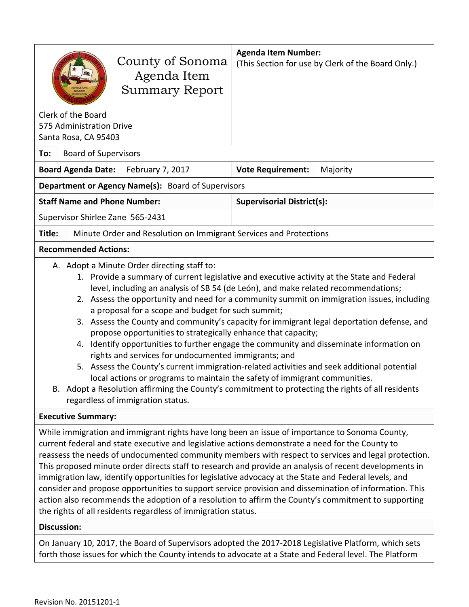| County of Sonoma<br>Agenda Item<br><b>Summary Report</b>                                                                                                                                                                                                                                                                                                                                                                                                                                                                                                                                                                                                                                                                                                                                                                                                                                                                                                                                                                             | <b>Agenda Item Number:</b><br>(This Section for use by Clerk of the Board Only.) |  |  |
|--------------------------------------------------------------------------------------------------------------------------------------------------------------------------------------------------------------------------------------------------------------------------------------------------------------------------------------------------------------------------------------------------------------------------------------------------------------------------------------------------------------------------------------------------------------------------------------------------------------------------------------------------------------------------------------------------------------------------------------------------------------------------------------------------------------------------------------------------------------------------------------------------------------------------------------------------------------------------------------------------------------------------------------|----------------------------------------------------------------------------------|--|--|
| Clerk of the Board<br>575 Administration Drive<br>Santa Rosa, CA 95403                                                                                                                                                                                                                                                                                                                                                                                                                                                                                                                                                                                                                                                                                                                                                                                                                                                                                                                                                               |                                                                                  |  |  |
| <b>Board of Supervisors</b><br>To:                                                                                                                                                                                                                                                                                                                                                                                                                                                                                                                                                                                                                                                                                                                                                                                                                                                                                                                                                                                                   |                                                                                  |  |  |
| <b>Board Agenda Date:</b><br>February 7, 2017                                                                                                                                                                                                                                                                                                                                                                                                                                                                                                                                                                                                                                                                                                                                                                                                                                                                                                                                                                                        | <b>Vote Requirement:</b><br>Majority                                             |  |  |
| <b>Department or Agency Name(s):</b> Board of Supervisors                                                                                                                                                                                                                                                                                                                                                                                                                                                                                                                                                                                                                                                                                                                                                                                                                                                                                                                                                                            |                                                                                  |  |  |
| <b>Staff Name and Phone Number:</b>                                                                                                                                                                                                                                                                                                                                                                                                                                                                                                                                                                                                                                                                                                                                                                                                                                                                                                                                                                                                  | <b>Supervisorial District(s):</b>                                                |  |  |
| Supervisor Shirlee Zane 565-2431                                                                                                                                                                                                                                                                                                                                                                                                                                                                                                                                                                                                                                                                                                                                                                                                                                                                                                                                                                                                     |                                                                                  |  |  |
| Title:<br>Minute Order and Resolution on Immigrant Services and Protections                                                                                                                                                                                                                                                                                                                                                                                                                                                                                                                                                                                                                                                                                                                                                                                                                                                                                                                                                          |                                                                                  |  |  |
| <b>Recommended Actions:</b>                                                                                                                                                                                                                                                                                                                                                                                                                                                                                                                                                                                                                                                                                                                                                                                                                                                                                                                                                                                                          |                                                                                  |  |  |
| A. Adopt a Minute Order directing staff to:<br>1. Provide a summary of current legislative and executive activity at the State and Federal<br>level, including an analysis of SB 54 (de León), and make related recommendations;<br>2. Assess the opportunity and need for a community summit on immigration issues, including<br>a proposal for a scope and budget for such summit;<br>3. Assess the County and community's capacity for immigrant legal deportation defense, and<br>propose opportunities to strategically enhance that capacity;<br>Identify opportunities to further engage the community and disseminate information on<br>4.<br>rights and services for undocumented immigrants; and<br>5. Assess the County's current immigration-related activities and seek additional potential<br>local actions or programs to maintain the safety of immigrant communities.<br>Adopt a Resolution affirming the County's commitment to protecting the rights of all residents<br>В.<br>regardless of immigration status. |                                                                                  |  |  |
| <b>Executive Summary:</b>                                                                                                                                                                                                                                                                                                                                                                                                                                                                                                                                                                                                                                                                                                                                                                                                                                                                                                                                                                                                            |                                                                                  |  |  |
| While immigration and immigrant rights have long been an issue of importance to Sonoma County,<br>current federal and state executive and legislative actions demonstrate a need for the County to<br>reassess the needs of undocumented community members with respect to services and legal protection.<br>This proposed minute order directs staff to research and provide an analysis of recent developments in<br>immigration law, identify opportunities for legislative advocacy at the State and Federal levels, and<br>consider and propose opportunities to support service provision and dissemination of information. This<br>action also recommends the adoption of a resolution to affirm the County's commitment to supporting<br>the rights of all residents regardless of immigration status.<br><b>Discussion:</b>                                                                                                                                                                                                 |                                                                                  |  |  |
| On January 10, 2017, the Board of Supervisors adopted the 2017-2018 Legislative Platform, which sets<br>forth those issues for which the County intends to advocate at a State and Federal level. The Platform                                                                                                                                                                                                                                                                                                                                                                                                                                                                                                                                                                                                                                                                                                                                                                                                                       |                                                                                  |  |  |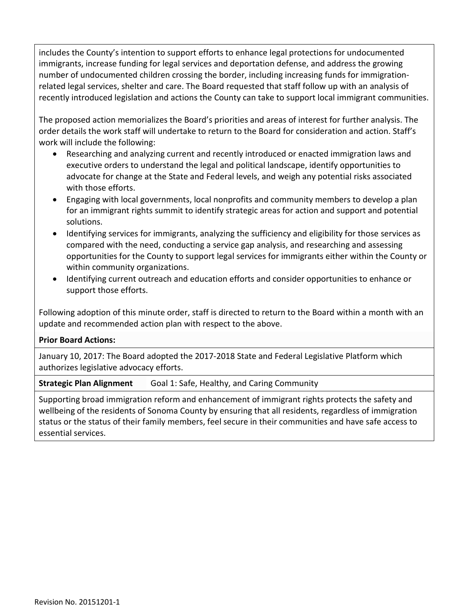includes the County's intention to support efforts to enhance legal protections for undocumented immigrants, increase funding for legal services and deportation defense, and address the growing number of undocumented children crossing the border, including increasing funds for immigrationrelated legal services, shelter and care. The Board requested that staff follow up with an analysis of recently introduced legislation and actions the County can take to support local immigrant communities.

The proposed action memorializes the Board's priorities and areas of interest for further analysis. The order details the work staff will undertake to return to the Board for consideration and action. Staff's work will include the following:

- Researching and analyzing current and recently introduced or enacted immigration laws and executive orders to understand the legal and political landscape, identify opportunities to advocate for change at the State and Federal levels, and weigh any potential risks associated with those efforts.
- Engaging with local governments, local nonprofits and community members to develop a plan for an immigrant rights summit to identify strategic areas for action and support and potential solutions.
- Identifying services for immigrants, analyzing the sufficiency and eligibility for those services as compared with the need, conducting a service gap analysis, and researching and assessing opportunities for the County to support legal services for immigrants either within the County or within community organizations.
- Identifying current outreach and education efforts and consider opportunities to enhance or support those efforts.

Following adoption of this minute order, staff is directed to return to the Board within a month with an update and recommended action plan with respect to the above.

#### **Prior Board Actions:**

January 10, 2017: The Board adopted the 2017-2018 State and Federal Legislative Platform which authorizes legislative advocacy efforts.

**Strategic Plan Alignment** Goal 1: Safe, Healthy, and Caring Community

Supporting broad immigration reform and enhancement of immigrant rights protects the safety and wellbeing of the residents of Sonoma County by ensuring that all residents, regardless of immigration status or the status of their family members, feel secure in their communities and have safe access to essential services.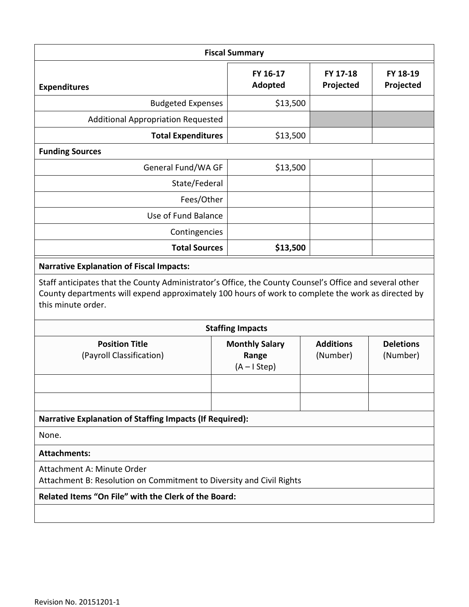| <b>Fiscal Summary</b>                                                                                                                                                                                                               |  |                                                 |                              |                              |
|-------------------------------------------------------------------------------------------------------------------------------------------------------------------------------------------------------------------------------------|--|-------------------------------------------------|------------------------------|------------------------------|
| <b>Expenditures</b>                                                                                                                                                                                                                 |  | FY 16-17<br>Adopted                             | FY 17-18<br>Projected        | FY 18-19<br>Projected        |
| <b>Budgeted Expenses</b>                                                                                                                                                                                                            |  | \$13,500                                        |                              |                              |
| <b>Additional Appropriation Requested</b>                                                                                                                                                                                           |  |                                                 |                              |                              |
| <b>Total Expenditures</b>                                                                                                                                                                                                           |  | \$13,500                                        |                              |                              |
| <b>Funding Sources</b>                                                                                                                                                                                                              |  |                                                 |                              |                              |
| General Fund/WA GF                                                                                                                                                                                                                  |  | \$13,500                                        |                              |                              |
| State/Federal                                                                                                                                                                                                                       |  |                                                 |                              |                              |
| Fees/Other                                                                                                                                                                                                                          |  |                                                 |                              |                              |
| Use of Fund Balance                                                                                                                                                                                                                 |  |                                                 |                              |                              |
| Contingencies                                                                                                                                                                                                                       |  |                                                 |                              |                              |
| <b>Total Sources</b>                                                                                                                                                                                                                |  | \$13,500                                        |                              |                              |
| <b>Narrative Explanation of Fiscal Impacts:</b>                                                                                                                                                                                     |  |                                                 |                              |                              |
| Staff anticipates that the County Administrator's Office, the County Counsel's Office and several other<br>County departments will expend approximately 100 hours of work to complete the work as directed by<br>this minute order. |  |                                                 |                              |                              |
|                                                                                                                                                                                                                                     |  | <b>Staffing Impacts</b>                         |                              |                              |
| <b>Position Title</b><br>(Payroll Classification)                                                                                                                                                                                   |  | <b>Monthly Salary</b><br>Range<br>$(A - IStep)$ | <b>Additions</b><br>(Number) | <b>Deletions</b><br>(Number) |
|                                                                                                                                                                                                                                     |  |                                                 |                              |                              |
|                                                                                                                                                                                                                                     |  |                                                 |                              |                              |
| <b>Narrative Explanation of Staffing Impacts (If Required):</b>                                                                                                                                                                     |  |                                                 |                              |                              |
| None.                                                                                                                                                                                                                               |  |                                                 |                              |                              |
| <b>Attachments:</b>                                                                                                                                                                                                                 |  |                                                 |                              |                              |
| Attachment A: Minute Order<br>Attachment B: Resolution on Commitment to Diversity and Civil Rights                                                                                                                                  |  |                                                 |                              |                              |
| Related Items "On File" with the Clerk of the Board:                                                                                                                                                                                |  |                                                 |                              |                              |
|                                                                                                                                                                                                                                     |  |                                                 |                              |                              |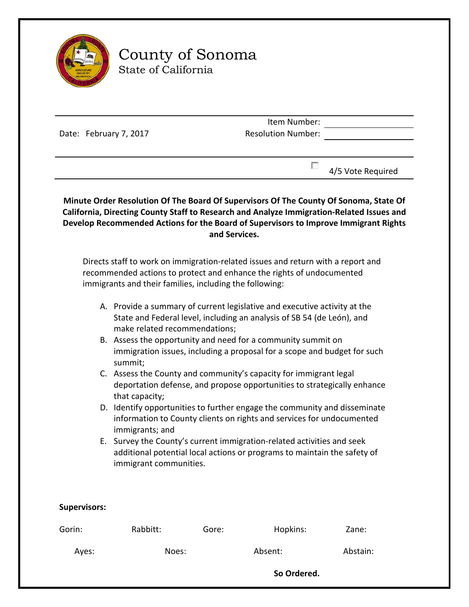

# County of Sonoma State of California

|                        | Item Number:              |  |
|------------------------|---------------------------|--|
| Date: February 7, 2017 | <b>Resolution Number:</b> |  |
|                        |                           |  |
|                        |                           |  |

 $\Box$  4/5 Vote Required

**Minute Order Resolution Of The Board Of Supervisors Of The County Of Sonoma, State Of California, Directing County Staff to Research and Analyze Immigration-Related Issues and Develop Recommended Actions for the Board of Supervisors to Improve Immigrant Rights and Services.**

Directs staff to work on immigration-related issues and return with a report and recommended actions to protect and enhance the rights of undocumented immigrants and their families, including the following:

- A. Provide a summary of current legislative and executive activity at the State and Federal level, including an analysis of SB 54 (de León), and make related recommendations;
- B. Assess the opportunity and need for a community summit on immigration issues, including a proposal for a scope and budget for such summit;
- C. Assess the County and community's capacity for immigrant legal deportation defense, and propose opportunities to strategically enhance that capacity;
- D. Identify opportunities to further engage the community and disseminate information to County clients on rights and services for undocumented immigrants; and
- E. Survey the County's current immigration-related activities and seek additional potential local actions or programs to maintain the safety of immigrant communities.

#### **Supervisors:**

| Gorin: | Rabbitt: | Gore:       | Hopkins: | Zane:    |  |
|--------|----------|-------------|----------|----------|--|
| Ayes:  | Noes:    |             | Absent:  | Abstain: |  |
|        |          | So Ordered. |          |          |  |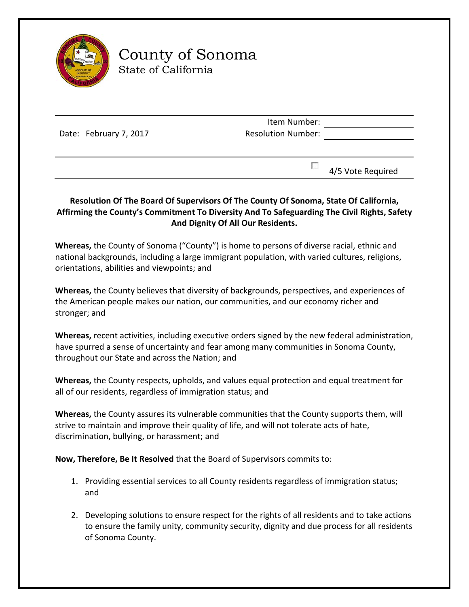

# County of Sonoma State of California

Date: February 7, 2017

Item Number: Resolution Number:

 $\Box$  4/5 Vote Required

### **Resolution Of The Board Of Supervisors Of The County Of Sonoma, State Of California, Affirming the County's Commitment To Diversity And To Safeguarding The Civil Rights, Safety And Dignity Of All Our Residents.**

**Whereas,** the County of Sonoma ("County") is home to persons of diverse racial, ethnic and national backgrounds, including a large immigrant population, with varied cultures, religions, orientations, abilities and viewpoints; and

**Whereas,** the County believes that diversity of backgrounds, perspectives, and experiences of the American people makes our nation, our communities, and our economy richer and stronger; and

**Whereas,** recent activities, including executive orders signed by the new federal administration, have spurred a sense of uncertainty and fear among many communities in Sonoma County, throughout our State and across the Nation; and

**Whereas,** the County respects, upholds, and values equal protection and equal treatment for all of our residents, regardless of immigration status; and

**Whereas,** the County assures its vulnerable communities that the County supports them, will strive to maintain and improve their quality of life, and will not tolerate acts of hate, discrimination, bullying, or harassment; and

**Now, Therefore, Be It Resolved** that the Board of Supervisors commits to:

- 1. Providing essential services to all County residents regardless of immigration status; and
- 2. Developing solutions to ensure respect for the rights of all residents and to take actions to ensure the family unity, community security, dignity and due process for all residents of Sonoma County.